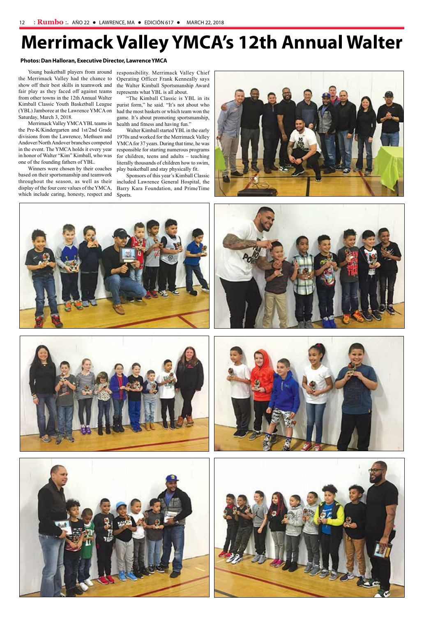the Merrimack Valley had the chance to show off their best skills in teamwork and fair play as they faced off against teams from other towns in the 12th Annual Walter Kimball Classic Youth Basketball League purist form," he said. "It's not about who (YBL) Jamboree at the Lawrence YMCA on Saturday, March 3, 2018.

Merrimack Valley YMCA YBL teams in the Pre-K/Kindergarten and 1st/2nd Grade Andover/North Andover branches competed in the event. The YMCA holds it every year in honor of Walter "Kim" Kimball, who was one of the founding fathers of YBL.

Young basketball players from around responsibility. Merrimack Valley Chief Operating Officer Frank Kenneally says the Walter Kimball Sportsmanship Award represents what YBL is all about.

Winners were chosen by their coaches based on their sportsmanship and teamwork throughout the season, as well as their included Lawrence General Hospital, the display of the four core values of the YMCA, which include caring, honesty, respect and

## **Merrimack Valley YMCA's 12th Annual Walter**

divisions from the Lawrence, Methuen and 1970s and worked for the Merrimack Valley Walter Kimball started YBL in the early YMCA for 37 years. During that time, he was responsible for starting numerous programs for children, teens and adults – teaching literally thousands of children how to swim, play basketball and stay physically fit.

"The Kimball Classic is YBL in its had the most baskets or which team won the game. It's about promoting sportsmanship, health and fitness and having fun."

Sponsors of this year's Kimball Classic Barry Kara Foundation, and PrimeTime Sports.















## **Photos: Dan Halloran, Executive Director, Lawrence YMCA**